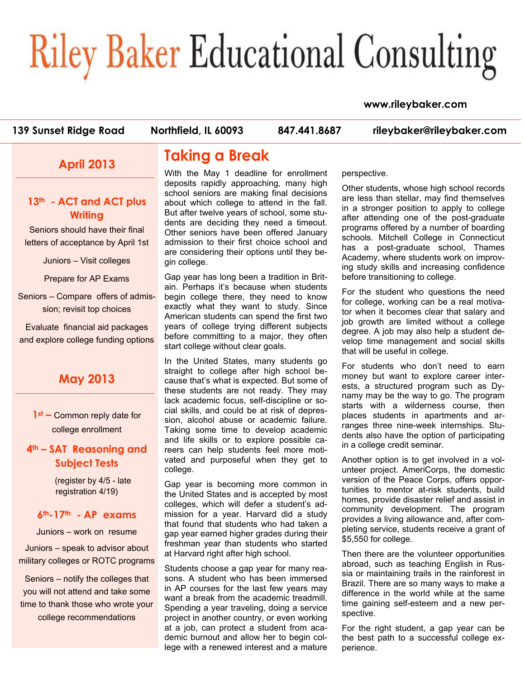# **Riley Baker Educational Consulting**

#### **www.rileybaker.com**

**139 Sunset Ridge Road Northfield, IL 60093 847.441.8687 rileybaker@rileybaker.com**

## **April 2013**

### **13th - ACT and ACT plus Writing**

Seniors should have their final letters of acceptance by April 1st

Juniors – Visit colleges

Prepare for AP Exams

Seniors – Compare offers of admission; revisit top choices

Evaluate financial aid packages and explore college funding options

## **May 2013**

**1st –** Common reply date for college enrollment

## **4th – SAT Reasoning and Subject Tests**

(register by 4/5 - late registration 4/19)

#### **6th-17th - AP exams**

Juniors – work on resume

Juniors – speak to advisor about military colleges or ROTC programs

Seniors – notify the colleges that you will not attend and take some time to thank those who wrote your college recommendations

## **Taking a Break**

With the May 1 deadline for enrollment deposits rapidly approaching, many high school seniors are making final decisions about which college to attend in the fall. But after twelve years of school, some students are deciding they need a timeout. Other seniors have been offered January admission to their first choice school and are considering their options until they begin college.

Gap year has long been a tradition in Britain. Perhaps it's because when students begin college there, they need to know exactly what they want to study. Since American students can spend the first two years of college trying different subjects before committing to a major, they often start college without clear goals.

In the United States, many students go straight to college after high school because that's what is expected. But some of these students are not ready. They may lack academic focus, self-discipline or social skills, and could be at risk of depression, alcohol abuse or academic failure. Taking some time to develop academic and life skills or to explore possible careers can help students feel more motivated and purposeful when they get to college.

Gap year is becoming more common in the United States and is accepted by most colleges, which will defer a student's admission for a year. Harvard did a study that found that students who had taken a gap year earned higher grades during their freshman year than students who started at Harvard right after high school.

Students choose a gap year for many reasons. A student who has been immersed in AP courses for the last few years may want a break from the academic treadmill. Spending a year traveling, doing a service project in another country, or even working at a job, can protect a student from academic burnout and allow her to begin college with a renewed interest and a mature perspective.

Other students, whose high school records are less than stellar, may find themselves in a stronger position to apply to college after attending one of the post-graduate programs offered by a number of boarding schools. Mitchell College in Connecticut has a post-graduate school, Thames Academy, where students work on improving study skills and increasing confidence before transitioning to college.

For the student who questions the need for college, working can be a real motivator when it becomes clear that salary and job growth are limited without a college degree. A job may also help a student develop time management and social skills that will be useful in college.

For students who don't need to earn money but want to explore career interests, a structured program such as Dynamy may be the way to go. The program starts with a wilderness course, then places students in apartments and arranges three nine-week internships. Students also have the option of participating in a college credit seminar.

Another option is to get involved in a volunteer project. AmeriCorps, the domestic version of the Peace Corps, offers opportunities to mentor at-risk students, build homes, provide disaster relief and assist in community development. The program provides a living allowance and, after completing service, students receive a grant of \$5,550 for college.

Then there are the volunteer opportunities abroad, such as teaching English in Russia or maintaining trails in the rainforest in Brazil. There are so many ways to make a difference in the world while at the same time gaining self-esteem and a new perspective.

For the right student, a gap year can be the best path to a successful college experience.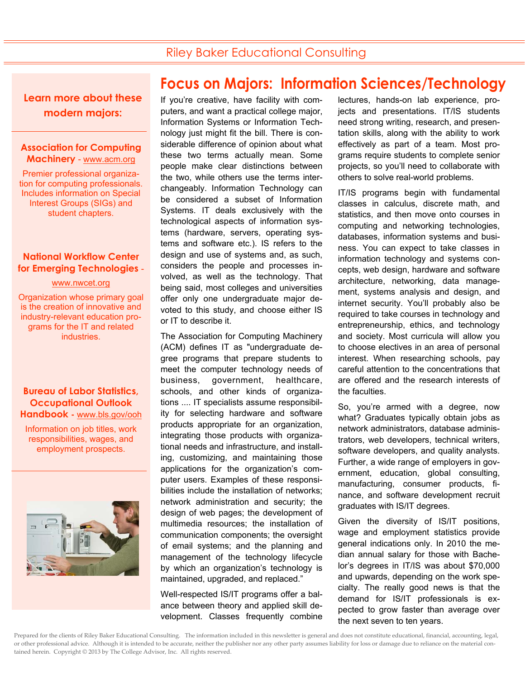## Riley Baker Educational Consulting

**Learn more about these modern majors:** 

#### **Association for Computing Machinery** - www.acm.org

Premier professional organization for computing professionals. Includes information on Special Interest Groups (SIGs) and student chapters.

#### **National Workflow Center for Emerging Technologies** -

#### www.nwcet.org

Organization whose primary goal is the creation of innovative and industry-relevant education programs for the IT and related industries.

**Bureau of Labor Statistics, Occupational Outlook Handbook -** www.bls.gov/ooh

Information on job titles, work responsibilities, wages, and employment prospects.



## **Focus on Majors: Information Sciences/Technology**

If you're creative, have facility with computers, and want a practical college major, Information Systems or Information Technology just might fit the bill. There is considerable difference of opinion about what these two terms actually mean. Some people make clear distinctions between the two, while others use the terms interchangeably. Information Technology can be considered a subset of Information Systems. IT deals exclusively with the technological aspects of information systems (hardware, servers, operating systems and software etc.). IS refers to the design and use of systems and, as such, considers the people and processes involved, as well as the technology. That being said, most colleges and universities offer only one undergraduate major devoted to this study, and choose either IS or IT to describe it.

The Association for Computing Machinery (ACM) defines IT as "undergraduate degree programs that prepare students to meet the computer technology needs of business, government, healthcare, schools, and other kinds of organizations .... IT specialists assume responsibility for selecting hardware and software products appropriate for an organization, integrating those products with organizational needs and infrastructure, and installing, customizing, and maintaining those applications for the organization's computer users. Examples of these responsibilities include the installation of networks; network administration and security; the design of web pages; the development of multimedia resources; the installation of communication components; the oversight of email systems; and the planning and management of the technology lifecycle by which an organization's technology is maintained, upgraded, and replaced."

Well-respected IS/IT programs offer a balance between theory and applied skill development. Classes frequently combine lectures, hands-on lab experience, projects and presentations. IT/IS students need strong writing, research, and presentation skills, along with the ability to work effectively as part of a team. Most programs require students to complete senior projects, so you'll need to collaborate with others to solve real-world problems.

IT/IS programs begin with fundamental classes in calculus, discrete math, and statistics, and then move onto courses in computing and networking technologies, databases, information systems and business. You can expect to take classes in information technology and systems concepts, web design, hardware and software architecture, networking, data management, systems analysis and design, and internet security. You'll probably also be required to take courses in technology and entrepreneurship, ethics, and technology and society. Most curricula will allow you to choose electives in an area of personal interest. When researching schools, pay careful attention to the concentrations that are offered and the research interests of the faculties.

So, you're armed with a degree, now what? Graduates typically obtain jobs as network administrators, database administrators, web developers, technical writers, software developers, and quality analysts. Further, a wide range of employers in government, education, global consulting, manufacturing, consumer products, finance, and software development recruit graduates with IS/IT degrees.

Given the diversity of IS/IT positions, wage and employment statistics provide general indications only. In 2010 the median annual salary for those with Bachelor's degrees in IT/IS was about \$70,000 and upwards, depending on the work specialty. The really good news is that the demand for IS/IT professionals is expected to grow faster than average over the next seven to ten years.

Prepared for the clients of Riley Baker Educational Consulting. The information included in this newsletter is general and does not constitute educational, financial, accounting, legal, or other professional advice. Although it is intended to be accurate, neither the publisher nor any other party assumes liability for loss or damage due to reliance on the material contained herein. Copyright © 2013 by The College Advisor, Inc. All rights reserved.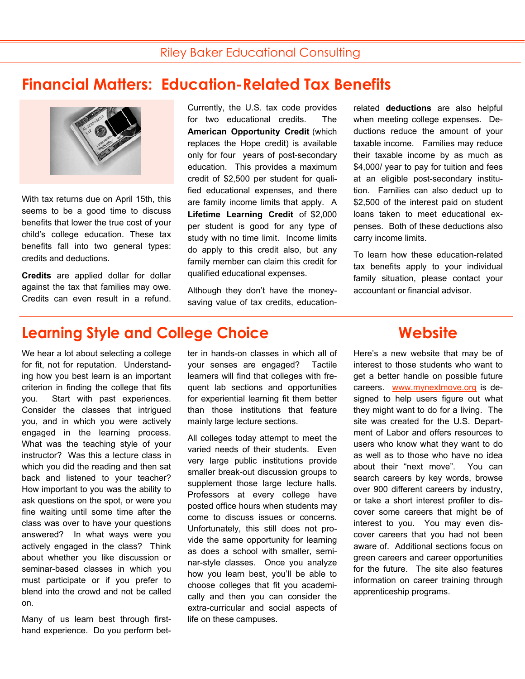## **Financial Matters: Education-Related Tax Benefits**



With tax returns due on April 15th, this seems to be a good time to discuss benefits that lower the true cost of your child's college education. These tax benefits fall into two general types: credits and deductions.

**Credits** are applied dollar for dollar against the tax that families may owe. Credits can even result in a refund. Currently, the U.S. tax code provides for two educational credits. The **American Opportunity Credit** (which replaces the Hope credit) is available only for four years of post-secondary education. This provides a maximum credit of \$2,500 per student for qualified educational expenses, and there are family income limits that apply. A **Lifetime Learning Credit** of \$2,000 per student is good for any type of study with no time limit. Income limits do apply to this credit also, but any family member can claim this credit for qualified educational expenses.

Although they don't have the moneysaving value of tax credits, educationrelated **deductions** are also helpful when meeting college expenses. Deductions reduce the amount of your taxable income. Families may reduce their taxable income by as much as \$4,000/ year to pay for tuition and fees at an eligible post-secondary institution. Families can also deduct up to \$2,500 of the interest paid on student loans taken to meet educational expenses. Both of these deductions also carry income limits.

To learn how these education-related tax benefits apply to your individual family situation, please contact your accountant or financial advisor.

## **Learning Style and College Choice The Convention Website**

We hear a lot about selecting a college for fit, not for reputation. Understanding how you best learn is an important criterion in finding the college that fits you. Start with past experiences. Consider the classes that intrigued you, and in which you were actively engaged in the learning process. What was the teaching style of your instructor? Was this a lecture class in which you did the reading and then sat back and listened to your teacher? How important to you was the ability to ask questions on the spot, or were you fine waiting until some time after the class was over to have your questions answered? In what ways were you actively engaged in the class? Think about whether you like discussion or seminar-based classes in which you must participate or if you prefer to blend into the crowd and not be called on.

Many of us learn best through firsthand experience. Do you perform better in hands-on classes in which all of your senses are engaged? Tactile learners will find that colleges with frequent lab sections and opportunities for experiential learning fit them better than those institutions that feature mainly large lecture sections.

All colleges today attempt to meet the varied needs of their students. Even very large public institutions provide smaller break-out discussion groups to supplement those large lecture halls. Professors at every college have posted office hours when students may come to discuss issues or concerns. Unfortunately, this still does not provide the same opportunity for learning as does a school with smaller, seminar-style classes. Once you analyze how you learn best, you'll be able to choose colleges that fit you academically and then you can consider the extra-curricular and social aspects of life on these campuses.

Here's a new website that may be of interest to those students who want to get a better handle on possible future careers. www.mynextmove.org is designed to help users figure out what they might want to do for a living. The site was created for the U.S. Department of Labor and offers resources to users who know what they want to do as well as to those who have no idea about their "next move". You can search careers by key words, browse over 900 different careers by industry, or take a short interest profiler to discover some careers that might be of interest to you. You may even discover careers that you had not been aware of. Additional sections focus on green careers and career opportunities for the future. The site also features information on career training through apprenticeship programs.